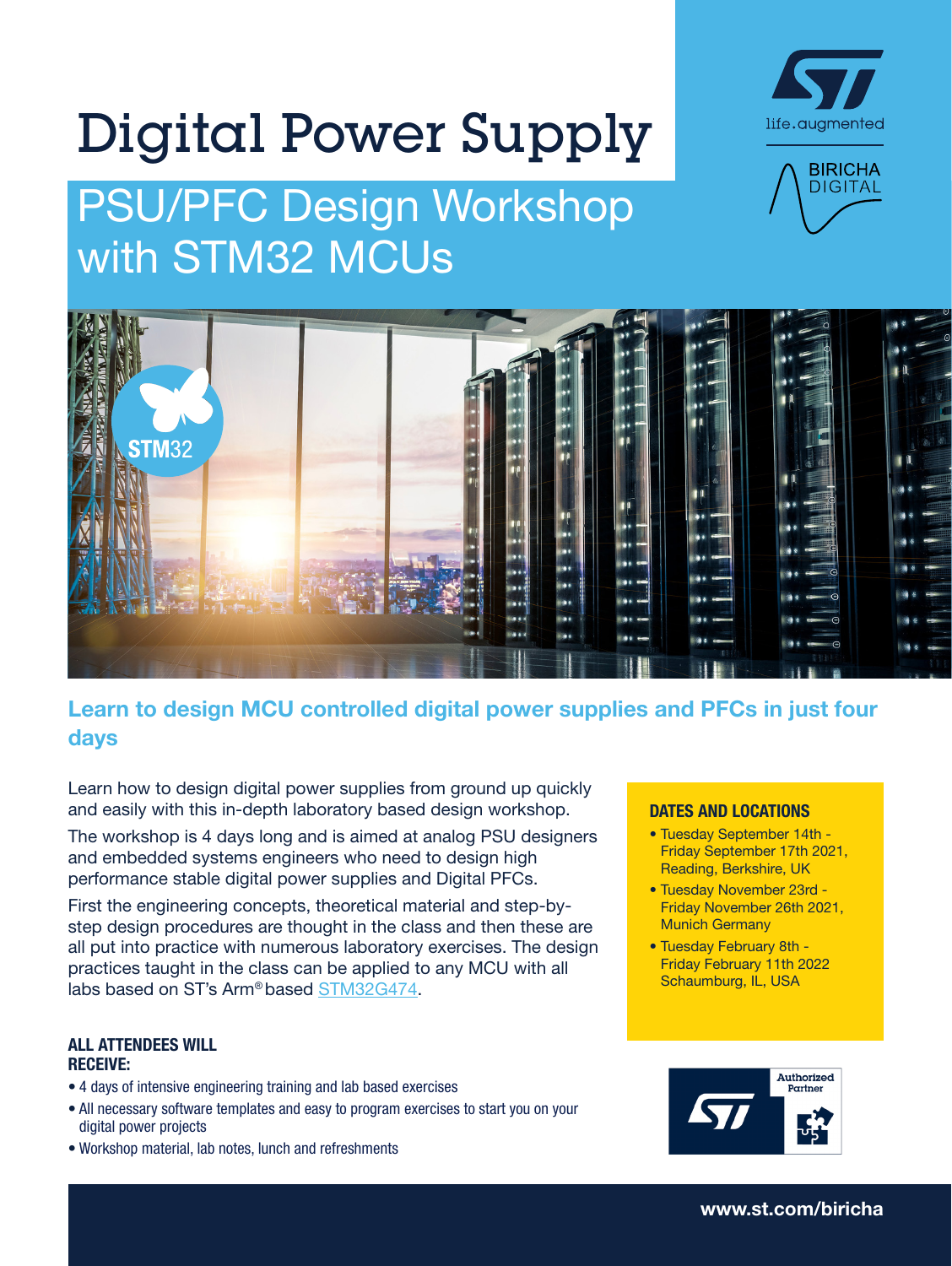# Digital Power Supply

## PSU/PFC Design Workshop with STM32 MCUs







#### Learn to design MCU controlled digital power supplies and PFCs in just four days

Learn how to design digital power supplies from ground up quickly and easily with this in-depth laboratory based design workshop.

The workshop is 4 days long and is aimed at analog PSU designers and embedded systems engineers who need to design high performance stable digital power supplies and Digital PFCs.

First the engineering concepts, theoretical material and step-bystep design procedures are thought in the class and then these are all put into practice with numerous laboratory exercises. The design practices taught in the class can be applied to any MCU with all labs based on ST's Arm*®* based [STM32G474](https://www.st.com/en/microcontrollers-microprocessors/stm32g4x4.html).

#### ALL ATTENDEES WILL RECEIVE:

- 4 days of intensive engineering training and lab based exercises
- All necessary software templates and easy to program exercises to start you on your digital power projects
- Workshop material, lab notes, lunch and refreshments

#### DATES AND LOCATIONS

- Tuesday September 14th Friday September 17th 2021, Reading, Berkshire, UK
- Tuesday November 23rd Friday November 26th 2021, Munich Germany
- Tuesday February 8th Friday February 11th 2022 Schaumburg, IL, USA